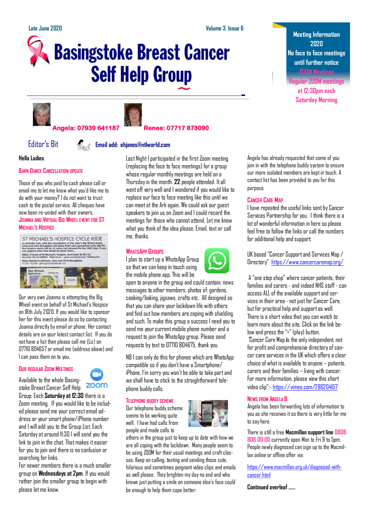# **Basingstoke Breast Cancer Self Help Group**





# **Angela: 07939 641187 Renee: 07717 873090**

# Editor's Bit **Email add: ehjanes@ntlworld.com**

**Hello Ladies**.

# **BARN DANCE CANCELLATION UPDATE**

Those of you who paid by cash please call or email me to let me know what you'd like me to do with your money? I do not want to trust cash to the postal service. All cheques have now been re-united with their owners. **JOANNA AND VIRTUAL BIG WHEEL EVENT FOR ST MICHAEL'S HOSPICE**



Our very own Joanna is attempting the Big Wheel event on behalf of St Michael's Hospice on 18th July 2020. If you would like to sponsor her for this event please do so by contacting Joanna directly by email or phone. Her contact details are on your latest contact list. If you do not have a list then please call me (Liz) on 07710 804657 or email me (address above) and I can pass them on to you.

# **OUR REGULAR ZOOM MEETINGS**

Available to the whole Basingstoke Breast Cancer Self Help

Group: Each **Saturday at 12:30** there is a Zoom meeting. If you would like to be included please send me your correct email address or your smart phone/iPhone number and I will add you to the Group List. Each Saturday at around 11:30 I will send you the link to join in the chat. That makes it easier for you to join and there is no confusion or searching for links.

For newer members there is a much smaller group on **Wednesdays at 2pm**. If you would rather join the smaller group to begin with please let me know.

Last Night I participated in the first Zoom meeting (replacing the face to face meetings) for a group whose regular monthly meetings are held on a Thursday in the month. **22** people attended. It all went off very well and I wondered if you would like to replace our face to face meeting like this until we can meet at the Ark again. We could ask our guest speakers to join us on Zoom and I could record the meetings for those who cannot attend. Let me know what you think of the idea please. Email, text or call me, thanks.

# **WHATSAPP GROUPS**

I plan to start up a WhatsApp Group so that we can keep in touch using the mobile phone app. This will be



open to anyone in the group and could contain: news messages to other members, photos of: gardens, cooking/baking, jigsaws, crafts etc. All designed so that you can share your lockdown life with others and find out how members are coping with shielding and such. To make this group a success I need you to send me your current mobile phone number and a request to join the WhatsApp group. Please send requests by text to 07710 804675, thank you.

NB I can only do this for phones which are WhatsApp compatible so if you don't have a Smartphone/ iPhone, I'm sorry you won't be able to take part and we shall have to stick to the straightforward telephone buddy calls.

# **TELEPHONE BUDDY SCHEME**

Our telephone buddy scheme seems to be working quite well. I have had calls from people and made calls to



others in the group just to keep up to date with how we are all coping with the lockdown. Many people seem to be using ZOOM for their usual meetings and craft classes. Keep on calling, texting and sending those cute, hilarious and sometimes poignant video clips and emails as well please. They brighten my day no end and who knows just putting a smile on someone else's face could be enough to help them cope better.

**Meeting Information 2020 No face to face meetings until further notice ZOOM Meetings**

**Regular ZOOM meetings at 12:30pm each Saturday Morning**

Angela has already requested that some of you join in with the telephone buddy system to ensure our more isolated members are kept in touch. A contact list has been provided to you for this purpose.

# **CANCER CARE MAP**

I have repeated the useful links sent by Cancer Services Partnership for you. I think there is a lot of wonderful information in here so please feel free to follow the links or call the numbers for additional help and support.

UK based "Cancer Support and Services Map / Directory" <https://www.cancercaremap.org/>

A "one stop shop" where cancer patients, their families and carers - and indeed NHS staff - can access ALL of the available support and services in their area - not just for Cancer Care, but for practical help and support as well. There is a short video that you can watch to learn more about the site. Click on the link below and press the ">" (play) button.

"Cancer Care Map **i**s the only independent, not for profit and comprehensive directory of cancer care services in the UK which offers a clear choice of what is available to anyone – patients, carers and their families – living with cancer. For more information, please view this short video clip":- <https://vimeo.com/286204157>

# **NEWS FROM ANGELA B**

Angela has been forwarding lots of information to you as she receives it so there is very little for me to say here.

There is still a free **Macmillan support line [0808](tel:08088080000)  [808 00 00](tel:08088080000)** currently open Mon to Fri 9 to 5pm. People newly diagnosed can sign up to the Macmillan online or offline offer via:

[https://www.macmillan.org.uk/diagnosed-with](https://www.macmillan.org.uk/diagnosed-with-cancer.html)[cancer.html](https://www.macmillan.org.uk/diagnosed-with-cancer.html)

**Continued overleaf …...**